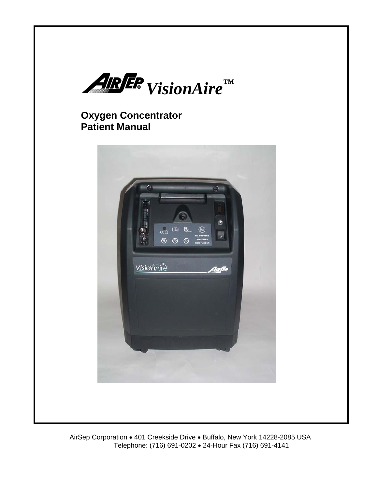

# **Oxygen Concentrator Patient Manual**

í

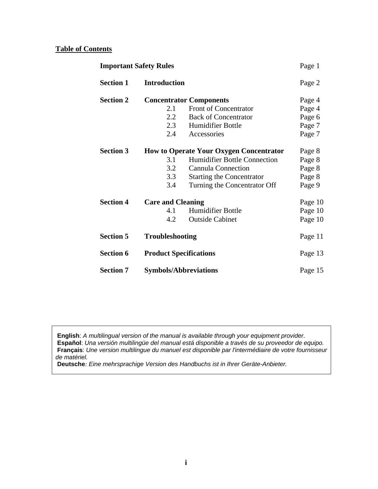## **Table of Contents**

| <b>Important Safety Rules</b> |                               | Page 1                                         |         |
|-------------------------------|-------------------------------|------------------------------------------------|---------|
| <b>Section 1</b>              | <b>Introduction</b>           |                                                | Page 2  |
| <b>Section 2</b>              |                               | <b>Concentrator Components</b>                 | Page 4  |
|                               | 2.1                           | Front of Concentrator                          | Page 4  |
|                               | 2.2                           | <b>Back of Concentrator</b>                    | Page 6  |
|                               | 2.3                           | Humidifier Bottle                              | Page 7  |
|                               | 2.4                           | Accessories                                    | Page 7  |
| <b>Section 3</b>              |                               | <b>How to Operate Your Oxygen Concentrator</b> | Page 8  |
|                               | 3.1                           | <b>Humidifier Bottle Connection</b>            | Page 8  |
|                               | 3.2                           | <b>Cannula Connection</b>                      | Page 8  |
|                               | 3.3                           | <b>Starting the Concentrator</b>               | Page 8  |
|                               | 3.4                           | Turning the Concentrator Off                   | Page 9  |
| <b>Section 4</b>              |                               | <b>Care and Cleaning</b>                       |         |
|                               | 4.1                           | <b>Humidifier Bottle</b>                       | Page 10 |
|                               | 4.2                           | <b>Outside Cabinet</b>                         | Page 10 |
| <b>Section 5</b>              | <b>Troubleshooting</b>        |                                                | Page 11 |
| <b>Section 6</b>              | <b>Product Specifications</b> |                                                | Page 13 |
| <b>Section 7</b>              | <b>Symbols/Abbreviations</b>  |                                                | Page 15 |

 **English**: *A multilingual version of the manual is available through your equipment provider.*   **Español**: *Una versión multilingüe del manual está disponible a través de su proveedor de equipo.*  **Français**: *Une version multilingue du manuel est disponible par l'intermédiaire de votre fournisseur de matériel.* 

 **Deutsche***: Eine mehrsprachige Version des Handbuchs ist in Ihrer Geräte-Anbieter.*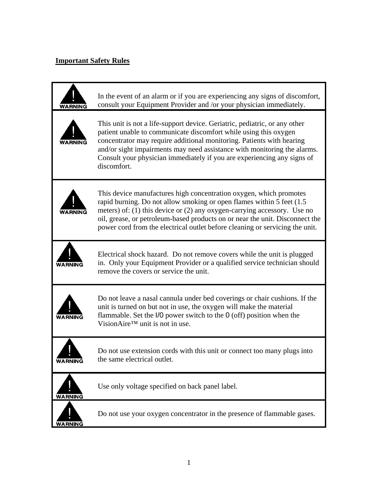## **Important Safety Rules**

| WARNING        | In the event of an alarm or if you are experiencing any signs of discomfort,<br>consult your Equipment Provider and /or your physician immediately.                                                                                                                                                                                                                                           |
|----------------|-----------------------------------------------------------------------------------------------------------------------------------------------------------------------------------------------------------------------------------------------------------------------------------------------------------------------------------------------------------------------------------------------|
|                | This unit is not a life-support device. Geriatric, pediatric, or any other<br>patient unable to communicate discomfort while using this oxygen<br>concentrator may require additional monitoring. Patients with hearing<br>and/or sight impairments may need assistance with monitoring the alarms.<br>Consult your physician immediately if you are experiencing any signs of<br>discomfort. |
|                | This device manufactures high concentration oxygen, which promotes<br>rapid burning. Do not allow smoking or open flames within 5 feet (1.5)<br>meters) of: (1) this device or (2) any oxygen-carrying accessory. Use no<br>oil, grease, or petroleum-based products on or near the unit. Disconnect the<br>power cord from the electrical outlet before cleaning or servicing the unit.      |
|                | Electrical shock hazard. Do not remove covers while the unit is plugged<br>in. Only your Equipment Provider or a qualified service technician should<br>remove the covers or service the unit.                                                                                                                                                                                                |
|                | Do not leave a nasal cannula under bed coverings or chair cushions. If the<br>unit is turned on but not in use, the oxygen will make the material<br>flammable. Set the $1/0$ power switch to the $0$ (off) position when the<br>VisionAire <sup>™</sup> unit is not in use.                                                                                                                  |
| <b>WARNING</b> | Do not use extension cords with this unit or connect too many plugs into<br>the same electrical outlet.                                                                                                                                                                                                                                                                                       |
| WARNING        | Use only voltage specified on back panel label.                                                                                                                                                                                                                                                                                                                                               |
| WARNING        | Do not use your oxygen concentrator in the presence of flammable gases.                                                                                                                                                                                                                                                                                                                       |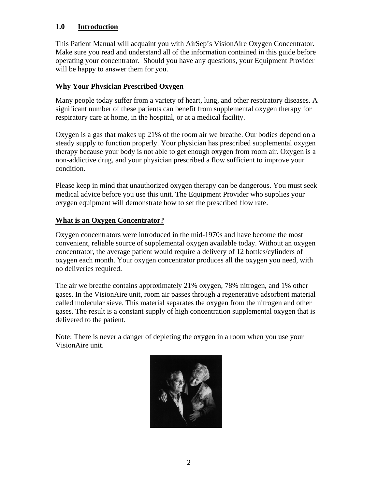## **1.0 Introduction**

This Patient Manual will acquaint you with AirSep's VisionAire Oxygen Concentrator. Make sure you read and understand all of the information contained in this guide before operating your concentrator. Should you have any questions, your Equipment Provider will be happy to answer them for you.

### **Why Your Physician Prescribed Oxygen**

Many people today suffer from a variety of heart, lung, and other respiratory diseases. A significant number of these patients can benefit from supplemental oxygen therapy for respiratory care at home, in the hospital, or at a medical facility.

Oxygen is a gas that makes up 21% of the room air we breathe. Our bodies depend on a steady supply to function properly. Your physician has prescribed supplemental oxygen therapy because your body is not able to get enough oxygen from room air. Oxygen is a non-addictive drug, and your physician prescribed a flow sufficient to improve your condition.

Please keep in mind that unauthorized oxygen therapy can be dangerous. You must seek medical advice before you use this unit. The Equipment Provider who supplies your oxygen equipment will demonstrate how to set the prescribed flow rate.

## **What is an Oxygen Concentrator?**

Oxygen concentrators were introduced in the mid-1970s and have become the most convenient, reliable source of supplemental oxygen available today. Without an oxygen concentrator, the average patient would require a delivery of 12 bottles/cylinders of oxygen each month. Your oxygen concentrator produces all the oxygen you need, with no deliveries required.

The air we breathe contains approximately 21% oxygen, 78% nitrogen, and 1% other gases. In the VisionAire unit, room air passes through a regenerative adsorbent material called molecular sieve. This material separates the oxygen from the nitrogen and other gases. The result is a constant supply of high concentration supplemental oxygen that is delivered to the patient.

Note: There is never a danger of depleting the oxygen in a room when you use your VisionAire unit.

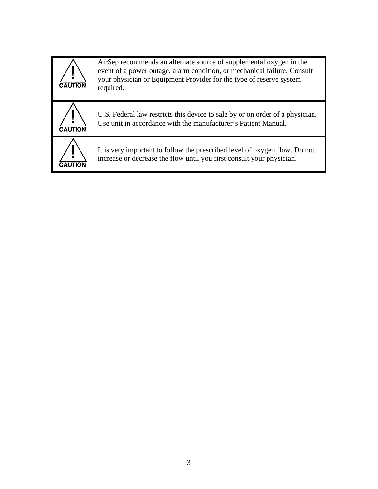| <b>CAUTION</b> | AirSep recommends an alternate source of supplemental oxygen in the<br>event of a power outage, alarm condition, or mechanical failure. Consult<br>your physician or Equipment Provider for the type of reserve system<br>required. |
|----------------|-------------------------------------------------------------------------------------------------------------------------------------------------------------------------------------------------------------------------------------|
| <b>CAUTION</b> | U.S. Federal law restricts this device to sale by or on order of a physician.<br>Use unit in accordance with the manufacturer's Patient Manual.                                                                                     |
|                | It is very important to follow the prescribed level of oxygen flow. Do not<br>increase or decrease the flow until you first consult your physician.                                                                                 |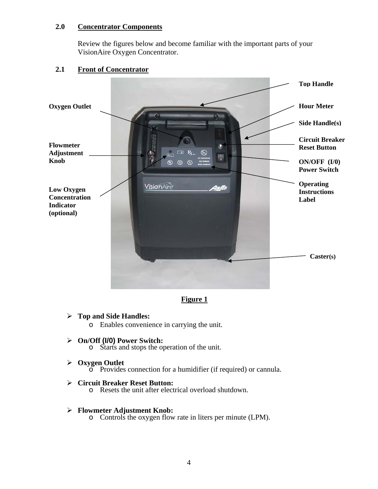### **2.0 Concentrator Components**

Review the figures below and become familiar with the important parts of your VisionAire Oxygen Concentrator.

### **2.1 Front of Concentrator**



**Figure 1**

### ¾ **Top and Side Handles:**

o Enables convenience in carrying the unit.

#### ¾ **On/Off (I/0) Power Switch:**

o Starts and stops the operation of the unit.

#### ¾ **Oxygen Outlet**

o Provides connection for a humidifier (if required) or cannula.

#### ¾ **Circuit Breaker Reset Button:**

o Resets the unit after electrical overload shutdown.

#### ¾ **Flowmeter Adjustment Knob:**

o Controls the oxygen flow rate in liters per minute (LPM).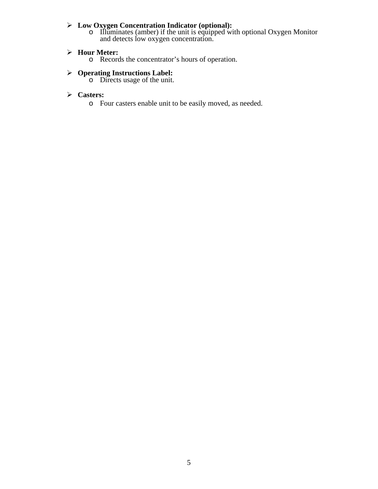#### ¾ **Low Oxygen Concentration Indicator (optional):**

o Illuminates (amber) if the unit is equipped with optional Oxygen Monitor and detects low oxygen concentration.

### ¾ **Hour Meter:**

o Records the concentrator's hours of operation.

#### ¾ **Operating Instructions Label:**

o Directs usage of the unit.

### ¾ **Casters:**

o Four casters enable unit to be easily moved, as needed.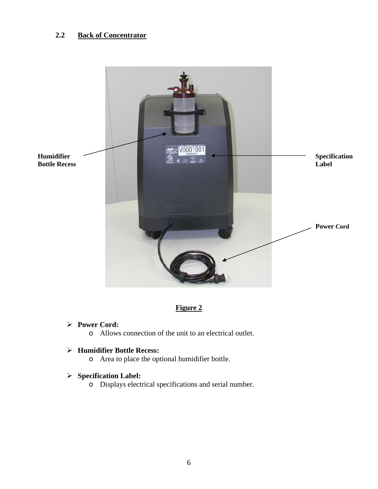## **2.2 Back of Concentrator**



## **Figure 2**

#### ¾ **Power Cord:**

o Allows connection of the unit to an electrical outlet.

### ¾ **Humidifier Bottle Recess:**

o Area to place the optional humidifier bottle.

# ¾ **Specification Label:**

o Displays electrical specifications and serial number.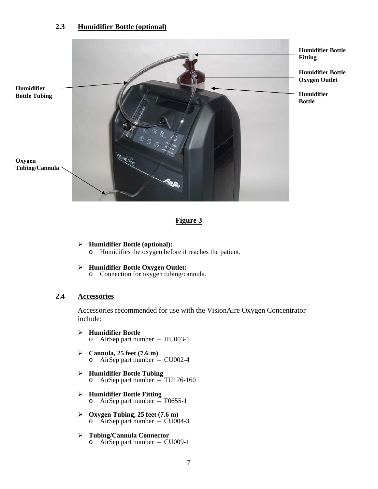#### **2.3 Humidifier Bottle (optional)**



### **Figure 3**

- ¾ **Humidifier Bottle (optional):**  o Humidifies the oxygen before it reaches the patient.
- ¾ **Humidifier Bottle Oxygen Outlet:**  Connection for oxygen tubing/cannula.

#### **2.4 Accessories**

Accessories recommended for use with the VisionAire Oxygen Concentrator include:

- ¾ **Humidifier Bottle**  o AirSep part number – HU003-1
- ¾ **Cannula, 25 feet (7.6 m)**  o AirSep part number – CU002-4
- ¾ **Humidifier Bottle Tubing**   $\overline{\text{AirSep}}$  and  $\overline{\text{ImDis}}$   $\overline{\text{Tu76-160}}$
- ¾ **Humidifier Bottle Fitting**  AirSep part number  $\approx$  F0655-1
- ¾ **Oxygen Tubing, 25 feet (7.6 m)**   $\circ$  AirSep part number – CU004-3
- ¾ **Tubing/Cannula Connector**  o AirSep part number – CU009-1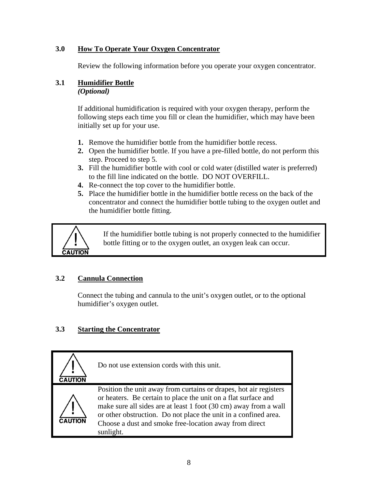## **3.0 How To Operate Your Oxygen Concentrator**

Review the following information before you operate your oxygen concentrator.

# **3.1 Humidifier Bottle**

*(Optional)* 

If additional humidification is required with your oxygen therapy, perform the following steps each time you fill or clean the humidifier, which may have been initially set up for your use.

- **1.** Remove the humidifier bottle from the humidifier bottle recess.
- **2.** Open the humidifier bottle. If you have a pre-filled bottle, do not perform this step. Proceed to step 5.
- **3.** Fill the humidifier bottle with cool or cold water (distilled water is preferred) to the fill line indicated on the bottle. DO NOT OVERFILL.
- **4.** Re-connect the top cover to the humidifier bottle.
- **5.** Place the humidifier bottle in the humidifier bottle recess on the back of the concentrator and connect the humidifier bottle tubing to the oxygen outlet and the humidifier bottle fitting.



If the humidifier bottle tubing is not properly connected to the humidifier bottle fitting or to the oxygen outlet, an oxygen leak can occur.

# **3.2 Cannula Connection**

Connect the tubing and cannula to the unit's oxygen outlet, or to the optional humidifier's oxygen outlet.

# **3.3 Starting the Concentrator**

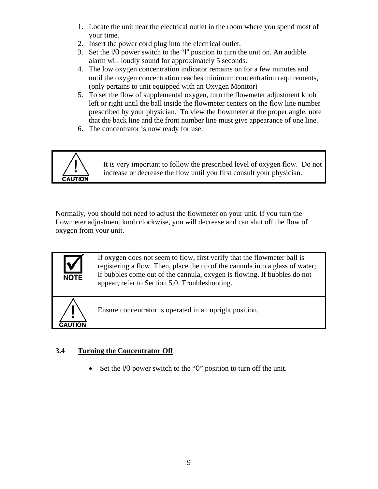- 1. Locate the unit near the electrical outlet in the room where you spend most of your time.
- 2. Insert the power cord plug into the electrical outlet.
- 3. Set the I/0 power switch to the "I" position to turn the unit on. An audible alarm will loudly sound for approximately 5 seconds.
- 4. The low oxygen concentration indicator remains on for a few minutes and until the oxygen concentration reaches minimum concentration requirements, (only pertains to unit equipped with an Oxygen Monitor)
- 5. To set the flow of supplemental oxygen, turn the flowmeter adjustment knob left or right until the ball inside the flowmeter centers on the flow line number prescribed by your physician. To view the flowmeter at the proper angle, note that the back line and the front number line must give appearance of one line.
- 6. The concentrator is now ready for use.



It is very important to follow the prescribed level of oxygen flow. Do not increase or decrease the flow until you first consult your physician.

Normally, you should not need to adjust the flowmeter on your unit. If you turn the flowmeter adjustment knob clockwise, you will decrease and can shut off the flow of oxygen from your unit.





**NOTE** 

Ensure concentrator is operated in an upright position.

## **3.4 Turning the Concentrator Off**

• Set the I/O power switch to the "0" position to turn off the unit.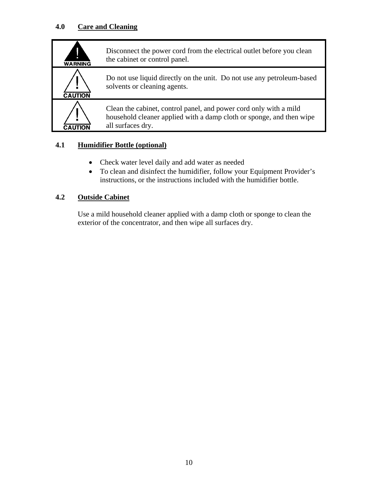## **4.0 Care and Cleaning**

| <b>WARNING</b> | Disconnect the power cord from the electrical outlet before you clean<br>the cabinet or control panel.                                                         |
|----------------|----------------------------------------------------------------------------------------------------------------------------------------------------------------|
| <b>CAUTION</b> | Do not use liquid directly on the unit. Do not use any petroleum-based<br>solvents or cleaning agents.                                                         |
|                | Clean the cabinet, control panel, and power cord only with a mild<br>household cleaner applied with a damp cloth or sponge, and then wipe<br>all surfaces dry. |

## **4.1 Humidifier Bottle (optional)**

- Check water level daily and add water as needed
- To clean and disinfect the humidifier, follow your Equipment Provider's instructions, or the instructions included with the humidifier bottle.

## **4.2 Outside Cabinet**

Use a mild household cleaner applied with a damp cloth or sponge to clean the exterior of the concentrator, and then wipe all surfaces dry.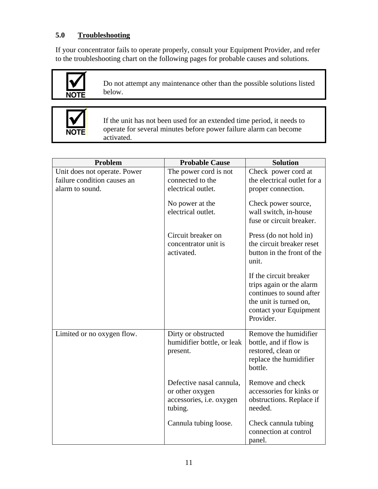## **5.0 Troubleshooting**

If your concentrator fails to operate properly, consult your Equipment Provider, and refer to the troubleshooting chart on the following pages for probable causes and solutions.



Do not attempt any maintenance other than the possible solutions listed below.



If the unit has not been used for an extended time period, it needs to operate for several minutes before power failure alarm can become activated.

| Problem                      | <b>Probable Cause</b>                                                              | <b>Solution</b>                                                                                                                                 |
|------------------------------|------------------------------------------------------------------------------------|-------------------------------------------------------------------------------------------------------------------------------------------------|
| Unit does not operate. Power | The power cord is not                                                              | Check power cord at                                                                                                                             |
| failure condition causes an  | connected to the                                                                   | the electrical outlet for a                                                                                                                     |
| alarm to sound.              | electrical outlet.                                                                 | proper connection.                                                                                                                              |
|                              | No power at the<br>electrical outlet.                                              | Check power source,<br>wall switch, in-house<br>fuse or circuit breaker.                                                                        |
|                              | Circuit breaker on<br>concentrator unit is<br>activated.                           | Press (do not hold in)<br>the circuit breaker reset<br>button in the front of the<br>unit.                                                      |
|                              |                                                                                    | If the circuit breaker<br>trips again or the alarm<br>continues to sound after<br>the unit is turned on,<br>contact your Equipment<br>Provider. |
| Limited or no oxygen flow.   | Dirty or obstructed<br>humidifier bottle, or leak<br>present.                      | Remove the humidifier<br>bottle, and if flow is<br>restored, clean or<br>replace the humidifier<br>bottle.                                      |
|                              | Defective nasal cannula,<br>or other oxygen<br>accessories, i.e. oxygen<br>tubing. | Remove and check<br>accessories for kinks or<br>obstructions. Replace if<br>needed.                                                             |
|                              | Cannula tubing loose.                                                              | Check cannula tubing<br>connection at control<br>panel.                                                                                         |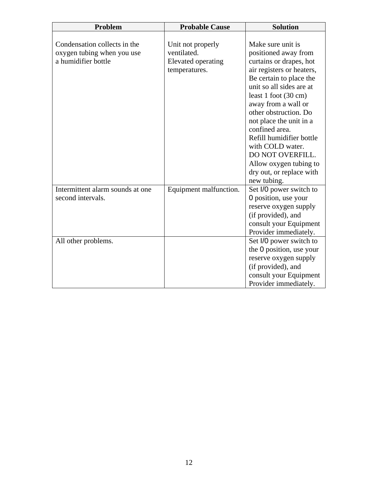| Problem                                                    | <b>Probable Cause</b>            | <b>Solution</b>                           |
|------------------------------------------------------------|----------------------------------|-------------------------------------------|
|                                                            |                                  |                                           |
| Condensation collects in the<br>oxygen tubing when you use | Unit not properly<br>ventilated. | Make sure unit is<br>positioned away from |
| a humidifier bottle                                        | Elevated operating               | curtains or drapes, hot                   |
|                                                            | temperatures.                    | air registers or heaters,                 |
|                                                            |                                  | Be certain to place the                   |
|                                                            |                                  | unit so all sides are at                  |
|                                                            |                                  | least 1 foot (30 cm)                      |
|                                                            |                                  | away from a wall or                       |
|                                                            |                                  | other obstruction. Do                     |
|                                                            |                                  | not place the unit in a                   |
|                                                            |                                  | confined area.                            |
|                                                            |                                  | Refill humidifier bottle                  |
|                                                            |                                  | with COLD water.                          |
|                                                            |                                  | DO NOT OVERFILL.                          |
|                                                            |                                  | Allow oxygen tubing to                    |
|                                                            |                                  | dry out, or replace with                  |
|                                                            |                                  | new tubing.                               |
| Intermittent alarm sounds at one                           | Equipment malfunction.           | Set I/0 power switch to                   |
| second intervals.                                          |                                  | 0 position, use your                      |
|                                                            |                                  | reserve oxygen supply                     |
|                                                            |                                  | (if provided), and                        |
|                                                            |                                  | consult your Equipment                    |
|                                                            |                                  | Provider immediately.                     |
| All other problems.                                        |                                  | Set I/0 power switch to                   |
|                                                            |                                  | the 0 position, use your                  |
|                                                            |                                  | reserve oxygen supply                     |
|                                                            |                                  | (if provided), and                        |
|                                                            |                                  | consult your Equipment                    |
|                                                            |                                  | Provider immediately.                     |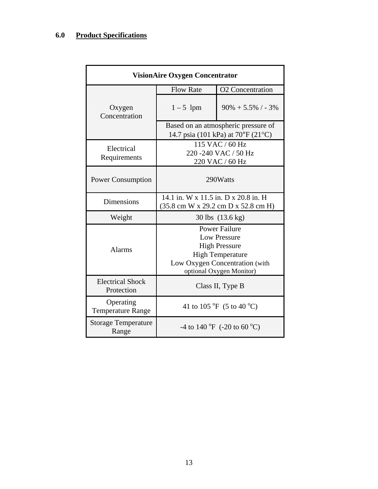# **6.0 Product Specifications**

| <b>VisionAire Oxygen Concentrator</b> |                                                                                                                                                              |                         |  |
|---------------------------------------|--------------------------------------------------------------------------------------------------------------------------------------------------------------|-------------------------|--|
|                                       | <b>Flow Rate</b>                                                                                                                                             | <b>O2</b> Concentration |  |
| Oxygen<br>Concentration               | $1-5$ lpm                                                                                                                                                    | $90\% + 5.5\%$ / - 3\%  |  |
|                                       | Based on an atmospheric pressure of<br>14.7 psia (101 kPa) at $70^{\circ}F(21^{\circ}C)$                                                                     |                         |  |
| Electrical<br>Requirements            | 115 VAC / 60 Hz<br>220 - 240 VAC / 50 Hz<br>220 VAC / 60 Hz                                                                                                  |                         |  |
| <b>Power Consumption</b>              | 290Watts                                                                                                                                                     |                         |  |
| <b>Dimensions</b>                     | 14.1 in. W x 11.5 in. D x 20.8 in. H<br>(35.8 cm W x 29.2 cm D x 52.8 cm H)                                                                                  |                         |  |
| Weight                                | 30 lbs (13.6 kg)                                                                                                                                             |                         |  |
| <b>Alarms</b>                         | <b>Power Failure</b><br><b>Low Pressure</b><br><b>High Pressure</b><br><b>High Temperature</b><br>Low Oxygen Concentration (with<br>optional Oxygen Monitor) |                         |  |
| <b>Electrical Shock</b><br>Protection | Class II, Type B                                                                                                                                             |                         |  |
| Operating<br><b>Temperature Range</b> | 41 to 105 °F (5 to 40 °C)                                                                                                                                    |                         |  |
| <b>Storage Temperature</b><br>Range   | -4 to 140 $^{\circ}$ F (-20 to 60 $^{\circ}$ C)                                                                                                              |                         |  |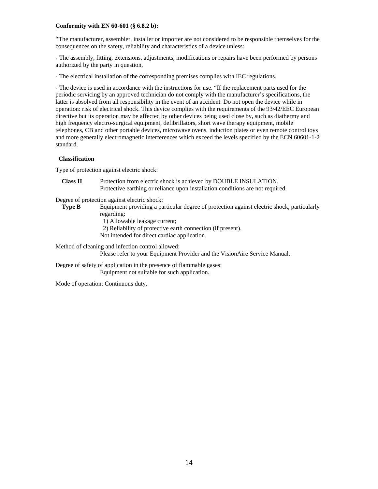#### **Conformity with EN 60-601 (§ 6.8.2 b): §**

"The manufacturer, assembler, installer or importer are not considered to be responsible themselves for the consequences on the safety, reliability and characteristics of a device unless:

- The assembly, fitting, extensions, adjustments, modifications or repairs have been performed by persons authorized by the party in question,

- The electrical installation of the corresponding premises complies with IEC regulations.

- The device is used in accordance with the instructions for use. "If the replacement parts used for the periodic servicing by an approved technician do not comply with the manufacturer's specifications, the latter is absolved from all responsibility in the event of an accident. Do not open the device while in operation: risk of electrical shock. This device complies with the requirements of the 93/42/EEC European directive but its operation may be affected by other devices being used close by, such as diathermy and high frequency electro-surgical equipment, defibrillators, short wave therapy equipment, mobile telephones, CB and other portable devices, microwave ovens, induction plates or even remote control toys and more generally electromagnetic interferences which exceed the levels specified by the ECN 60601-1-2 standard.

#### **Classification**

Type of protection against electric shock:

**Class II** Protection from electric shock is achieved by DOUBLE INSULATION. Protective earthing or reliance upon installation conditions are not required.

Degree of protection against electric shock:

- **Type B** Equipment providing a particular degree of protection against electric shock, particularly regarding:
	- 1) Allowable leakage current;
	- 2) Reliability of protective earth connection (if present).
	- Not intended for direct cardiac application.

Method of cleaning and infection control allowed:

Please refer to your Equipment Provider and the VisionAire Service Manual.

Degree of safety of application in the presence of flammable gases: Equipment not suitable for such application.

Mode of operation: Continuous duty.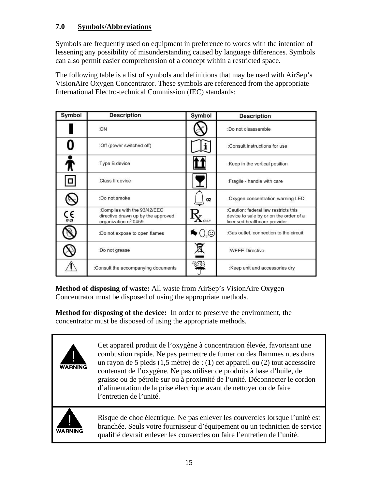## **7.0 Symbols/Abbreviations**

Symbols are frequently used on equipment in preference to words with the intention of lessening any possibility of misunderstanding caused by language differences. Symbols can also permit easier comprehension of a concept within a restricted space.

The following table is a list of symbols and definitions that may be used with AirSep's VisionAire Oxygen Concentrator. These symbols are referenced from the appropriate International Electro-technical Commission (IEC) standards:

| Symbol              | <b>Description</b>                                                                         | Symbol | <b>Description</b>                                                                                             |
|---------------------|--------------------------------------------------------------------------------------------|--------|----------------------------------------------------------------------------------------------------------------|
|                     | :ON                                                                                        |        | :Do not disassemble                                                                                            |
|                     | :Off (power switched off)                                                                  | ı      | :Consult instructions for use                                                                                  |
| R                   | :Type B device                                                                             |        | :Keep in the vertical position                                                                                 |
| $\Box$              | :Class II device                                                                           |        | :Fragile - handle with care                                                                                    |
| S                   | :Do not smoke                                                                              | 02     | :Oxygen concentration warning LED                                                                              |
| $C_{\frac{6459}{}}$ | :Complies with the 93/42/EEC<br>directive drawn up by the approved<br>organization nº 0459 |        | :Caution: federal law restricts this<br>device to sale by or on the order of a<br>licensed healthcare provider |
|                     | :Do not expose to open flames                                                              | ৲ ( ূ© | :Gas outlet, connection to the circuit                                                                         |
|                     | :Do not grease                                                                             |        | :WEEE Directive                                                                                                |
|                     | :Consult the accompanying documents                                                        |        | :Keep unit and accessories dry                                                                                 |

**Method of disposing of waste:** All waste from AirSep's VisionAire Oxygen Concentrator must be disposed of using the appropriate methods.

**Method for disposing of the device:** In order to preserve the environment, the concentrator must be disposed of using the appropriate methods.



Cet appareil produit de l'oxygène à concentration élevée, favorisant une combustion rapide. Ne pas permettre de fumer ou des flammes nues dans un rayon de 5 pieds (1,5 mètre) de : (1) cet appareil ou (2) tout accessoire contenant de l'oxygène. Ne pas utiliser de produits à base d'huile, de graisse ou de pétrole sur ou à proximité de l'unité. Déconnecter le cordon d'alimentation de la prise électrique avant de nettoyer ou de faire l'entretien de l'unité.



Risque de choc électrique. Ne pas enlever les couvercles lorsque l'unité est branchée. Seuls votre fournisseur d'équipement ou un technicien de service qualifié devrait enlever les couvercles ou faire l'entretien de l'unité.